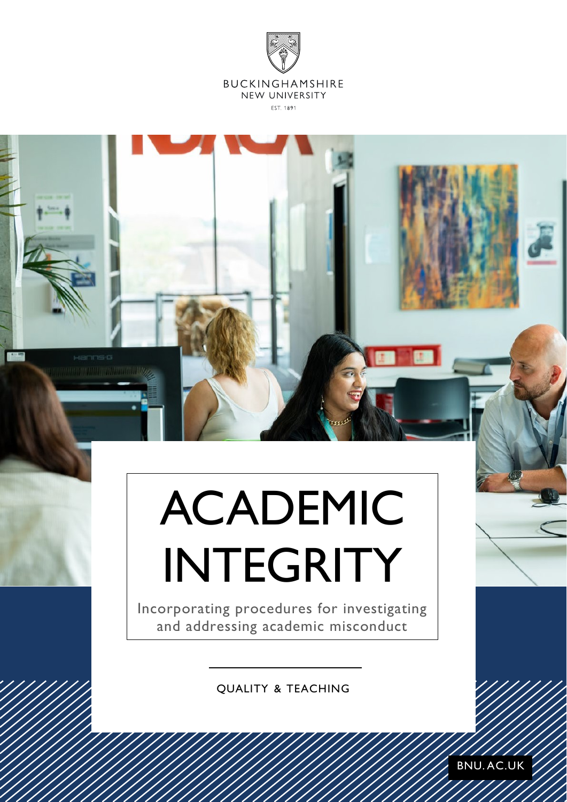

# ACADEMIC INTEGRITY

Incorporating procedures for investigating and addressing academic misconduct

QUALITY & TEACHING

BNU. AC.UK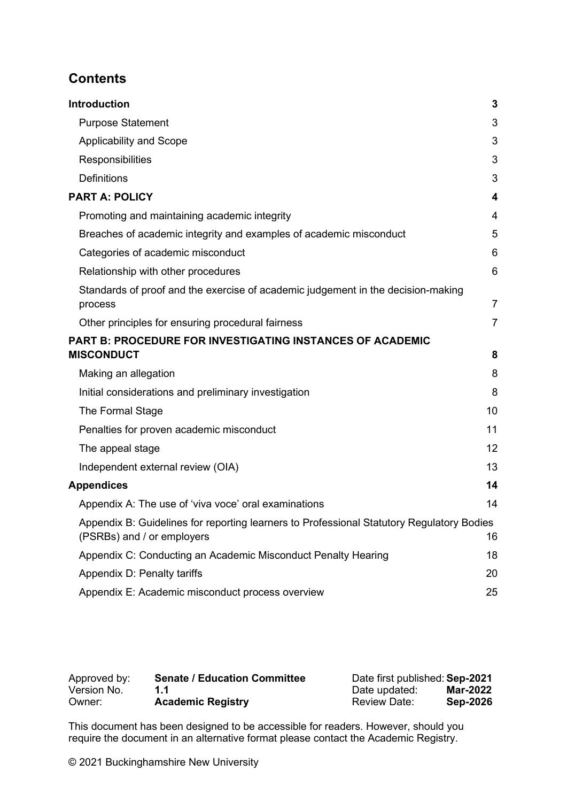## **Contents**

| <b>Introduction</b>                                                                                                     | 3              |
|-------------------------------------------------------------------------------------------------------------------------|----------------|
| <b>Purpose Statement</b>                                                                                                | 3              |
| <b>Applicability and Scope</b>                                                                                          | 3              |
| Responsibilities                                                                                                        | 3              |
| <b>Definitions</b>                                                                                                      | 3              |
| <b>PART A: POLICY</b>                                                                                                   | 4              |
| Promoting and maintaining academic integrity                                                                            | 4              |
| Breaches of academic integrity and examples of academic misconduct                                                      | 5              |
| Categories of academic misconduct                                                                                       | 6              |
| Relationship with other procedures                                                                                      | $6\phantom{1}$ |
| Standards of proof and the exercise of academic judgement in the decision-making<br>process                             | $\overline{7}$ |
| Other principles for ensuring procedural fairness                                                                       | $\overline{7}$ |
| <b>PART B: PROCEDURE FOR INVESTIGATING INSTANCES OF ACADEMIC</b>                                                        |                |
| <b>MISCONDUCT</b>                                                                                                       | 8              |
| Making an allegation                                                                                                    | 8              |
| Initial considerations and preliminary investigation                                                                    | 8              |
| The Formal Stage                                                                                                        | 10             |
| Penalties for proven academic misconduct                                                                                | 11             |
| The appeal stage                                                                                                        | 12             |
| Independent external review (OIA)                                                                                       | 13             |
| <b>Appendices</b>                                                                                                       | 14             |
| Appendix A: The use of 'viva voce' oral examinations                                                                    | 14             |
| Appendix B: Guidelines for reporting learners to Professional Statutory Regulatory Bodies<br>(PSRBs) and / or employers | 16             |
| Appendix C: Conducting an Academic Misconduct Penalty Hearing                                                           | 18             |
| Appendix D: Penalty tariffs                                                                                             | 20             |
| Appendix E: Academic misconduct process overview                                                                        | 25             |

| Approved by: | <b>Senate / Education Committee</b> | Date first published: Sep-2021 |                 |
|--------------|-------------------------------------|--------------------------------|-----------------|
| Version No.  |                                     | Date updated:                  | Mar-2022        |
| Owner:       | <b>Academic Registry</b>            | <b>Review Date:</b>            | <b>Sep-2026</b> |

This document has been designed to be accessible for readers. However, should you require the document in an alternative format please contact the Academic Registry.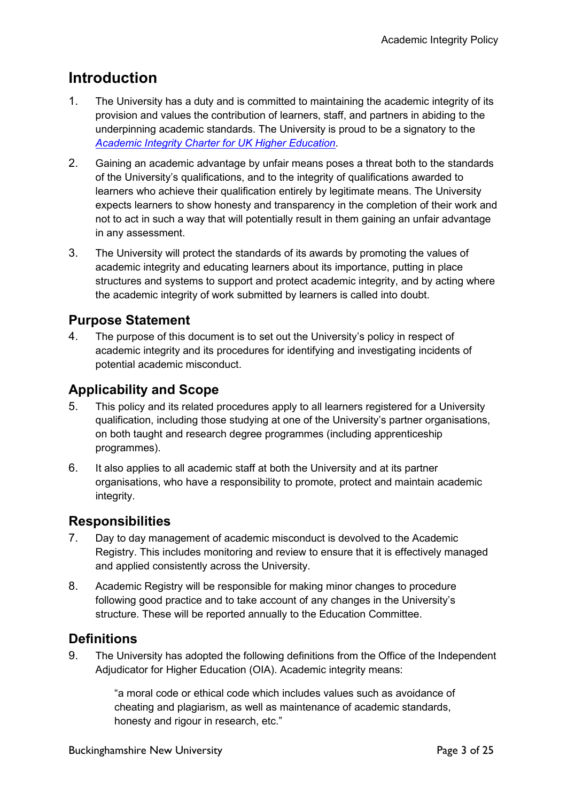# <span id="page-2-0"></span>**Introduction**

- 1. The University has a duty and is committed to maintaining the academic integrity of its provision and values the contribution of learners, staff, and partners in abiding to the underpinning academic standards. The University is proud to be a signatory to the *[Academic Integrity Charter for UK Higher Education](https://www.qaa.ac.uk/about-us/what-we-do/academic-integrity/charter)*.
- 2. Gaining an academic advantage by unfair means poses a threat both to the standards of the University's qualifications, and to the integrity of qualifications awarded to learners who achieve their qualification entirely by legitimate means. The University expects learners to show honesty and transparency in the completion of their work and not to act in such a way that will potentially result in them gaining an unfair advantage in any assessment.
- 3. The University will protect the standards of its awards by promoting the values of academic integrity and educating learners about its importance, putting in place structures and systems to support and protect academic integrity, and by acting where the academic integrity of work submitted by learners is called into doubt.

## <span id="page-2-1"></span>**Purpose Statement**

4. The purpose of this document is to set out the University's policy in respect of academic integrity and its procedures for identifying and investigating incidents of potential academic misconduct.

## <span id="page-2-2"></span>**Applicability and Scope**

- 5. This policy and its related procedures apply to all learners registered for a University qualification, including those studying at one of the University's partner organisations, on both taught and research degree programmes (including apprenticeship programmes).
- 6. It also applies to all academic staff at both the University and at its partner organisations, who have a responsibility to promote, protect and maintain academic integrity.

#### <span id="page-2-3"></span>**Responsibilities**

- 7. Day to day management of academic misconduct is devolved to the Academic Registry. This includes monitoring and review to ensure that it is effectively managed and applied consistently across the University.
- 8. Academic Registry will be responsible for making minor changes to procedure following good practice and to take account of any changes in the University's structure. These will be reported annually to the Education Committee.

#### <span id="page-2-4"></span>**Definitions**

9. The University has adopted the following definitions from the Office of the Independent Adjudicator for Higher Education (OIA). Academic integrity means:

> "a moral code or ethical code which includes values such as avoidance of cheating and plagiarism, as well as maintenance of academic standards, honesty and rigour in research, etc."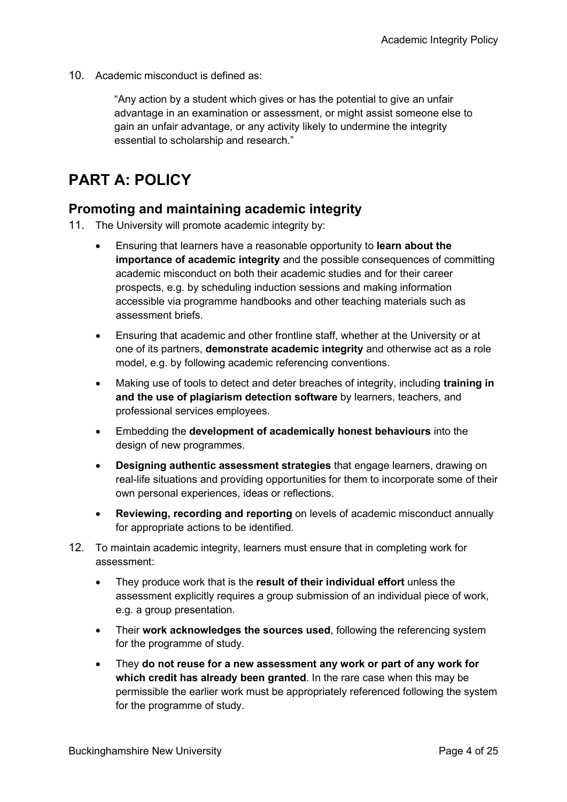10. Academic misconduct is defined as:

"Any action by a student which gives or has the potential to give an unfair advantage in an examination or assessment, or might assist someone else to gain an unfair advantage, or any activity likely to undermine the integrity essential to scholarship and research."

# <span id="page-3-0"></span>**PART A: POLICY**

#### <span id="page-3-1"></span>**Promoting and maintaining academic integrity**

- 11. The University will promote academic integrity by:
	- Ensuring that learners have a reasonable opportunity to **learn about the importance of academic integrity** and the possible consequences of committing academic misconduct on both their academic studies and for their career prospects, e.g. by scheduling induction sessions and making information accessible via programme handbooks and other teaching materials such as assessment briefs.
	- Ensuring that academic and other frontline staff, whether at the University or at one of its partners, **demonstrate academic integrity** and otherwise act as a role model, e.g. by following academic referencing conventions.
	- Making use of tools to detect and deter breaches of integrity, including **training in and the use of plagiarism detection software** by learners, teachers, and professional services employees.
	- Embedding the **development of academically honest behaviours** into the design of new programmes.
	- **Designing authentic assessment strategies** that engage learners, drawing on real-life situations and providing opportunities for them to incorporate some of their own personal experiences, ideas or reflections.
	- **Reviewing, recording and reporting** on levels of academic misconduct annually for appropriate actions to be identified.
- 12. To maintain academic integrity, learners must ensure that in completing work for assessment:
	- They produce work that is the **result of their individual effort** unless the assessment explicitly requires a group submission of an individual piece of work, e.g. a group presentation.
	- Their **work acknowledges the sources used**, following the referencing system for the programme of study.
	- They **do not reuse for a new assessment any work or part of any work for which credit has already been granted**. In the rare case when this may be permissible the earlier work must be appropriately referenced following the system for the programme of study.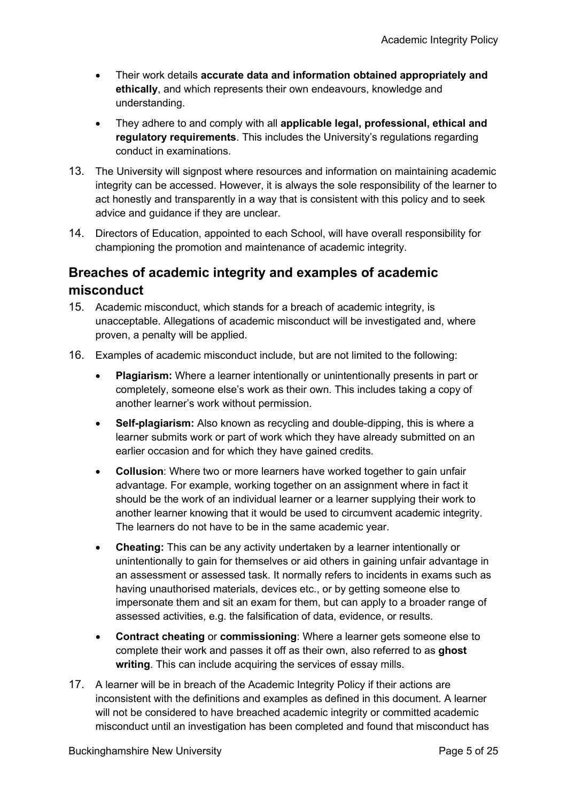- Their work details **accurate data and information obtained appropriately and ethically**, and which represents their own endeavours, knowledge and understanding.
- They adhere to and comply with all **applicable legal, professional, ethical and regulatory requirements**. This includes the University's regulations regarding conduct in examinations.
- 13. The University will signpost where resources and information on maintaining academic integrity can be accessed. However, it is always the sole responsibility of the learner to act honestly and transparently in a way that is consistent with this policy and to seek advice and guidance if they are unclear.
- 14. Directors of Education, appointed to each School, will have overall responsibility for championing the promotion and maintenance of academic integrity.

## <span id="page-4-0"></span>**Breaches of academic integrity and examples of academic misconduct**

- 15. Academic misconduct, which stands for a breach of academic integrity, is unacceptable. Allegations of academic misconduct will be investigated and, where proven, a penalty will be applied.
- 16. Examples of academic misconduct include, but are not limited to the following:
	- **Plagiarism:** Where a learner intentionally or unintentionally presents in part or completely, someone else's work as their own. This includes taking a copy of another learner's work without permission.
	- **Self-plagiarism:** Also known as recycling and double-dipping, this is where a learner submits work or part of work which they have already submitted on an earlier occasion and for which they have gained credits.
	- **Collusion**: Where two or more learners have worked together to gain unfair advantage. For example, working together on an assignment where in fact it should be the work of an individual learner or a learner supplying their work to another learner knowing that it would be used to circumvent academic integrity. The learners do not have to be in the same academic year.
	- **Cheating:** This can be any activity undertaken by a learner intentionally or unintentionally to gain for themselves or aid others in gaining unfair advantage in an assessment or assessed task. It normally refers to incidents in exams such as having unauthorised materials, devices etc., or by getting someone else to impersonate them and sit an exam for them, but can apply to a broader range of assessed activities, e.g. the falsification of data, evidence, or results.
	- **Contract cheating** or **commissioning**: Where a learner gets someone else to complete their work and passes it off as their own, also referred to as **ghost writing**. This can include acquiring the services of essay mills.
- 17. A learner will be in breach of the Academic Integrity Policy if their actions are inconsistent with the definitions and examples as defined in this document. A learner will not be considered to have breached academic integrity or committed academic misconduct until an investigation has been completed and found that misconduct has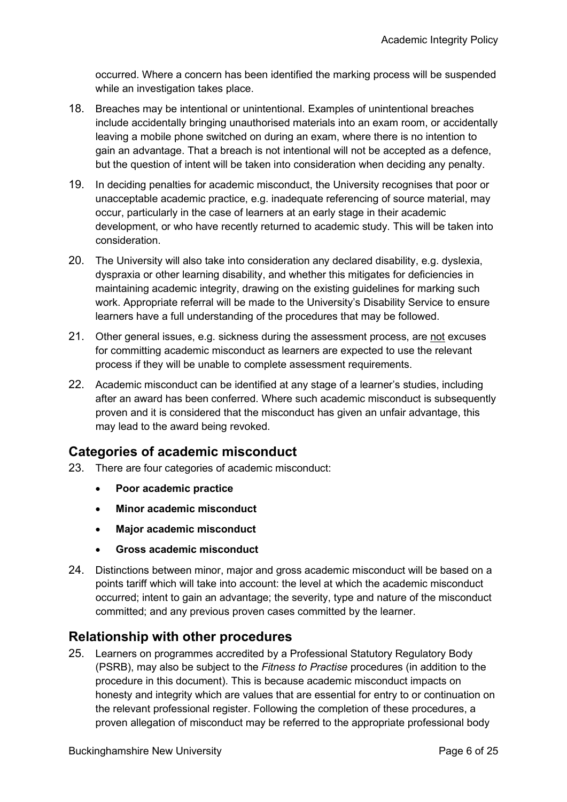occurred. Where a concern has been identified the marking process will be suspended while an investigation takes place.

- 18. Breaches may be intentional or unintentional. Examples of unintentional breaches include accidentally bringing unauthorised materials into an exam room, or accidentally leaving a mobile phone switched on during an exam, where there is no intention to gain an advantage. That a breach is not intentional will not be accepted as a defence, but the question of intent will be taken into consideration when deciding any penalty.
- 19. In deciding penalties for academic misconduct, the University recognises that poor or unacceptable academic practice, e.g. inadequate referencing of source material, may occur, particularly in the case of learners at an early stage in their academic development, or who have recently returned to academic study. This will be taken into consideration.
- 20. The University will also take into consideration any declared disability, e.g. dyslexia, dyspraxia or other learning disability, and whether this mitigates for deficiencies in maintaining academic integrity, drawing on the existing guidelines for marking such work. Appropriate referral will be made to the University's Disability Service to ensure learners have a full understanding of the procedures that may be followed.
- 21. Other general issues, e.g. sickness during the assessment process, are not excuses for committing academic misconduct as learners are expected to use the relevant process if they will be unable to complete assessment requirements.
- 22. Academic misconduct can be identified at any stage of a learner's studies, including after an award has been conferred. Where such academic misconduct is subsequently proven and it is considered that the misconduct has given an unfair advantage, this may lead to the award being revoked.

#### <span id="page-5-0"></span>**Categories of academic misconduct**

- 23. There are four categories of academic misconduct:
	- **Poor academic practice**
	- **Minor academic misconduct**
	- **Major academic misconduct**
	- **Gross academic misconduct**
- 24. Distinctions between minor, major and gross academic misconduct will be based on a points tariff which will take into account: the level at which the academic misconduct occurred; intent to gain an advantage; the severity, type and nature of the misconduct committed; and any previous proven cases committed by the learner.

#### <span id="page-5-1"></span>**Relationship with other procedures**

25. Learners on programmes accredited by a Professional Statutory Regulatory Body (PSRB), may also be subject to the *Fitness to Practise* procedures (in addition to the procedure in this document). This is because academic misconduct impacts on honesty and integrity which are values that are essential for entry to or continuation on the relevant professional register. Following the completion of these procedures, a proven allegation of misconduct may be referred to the appropriate professional body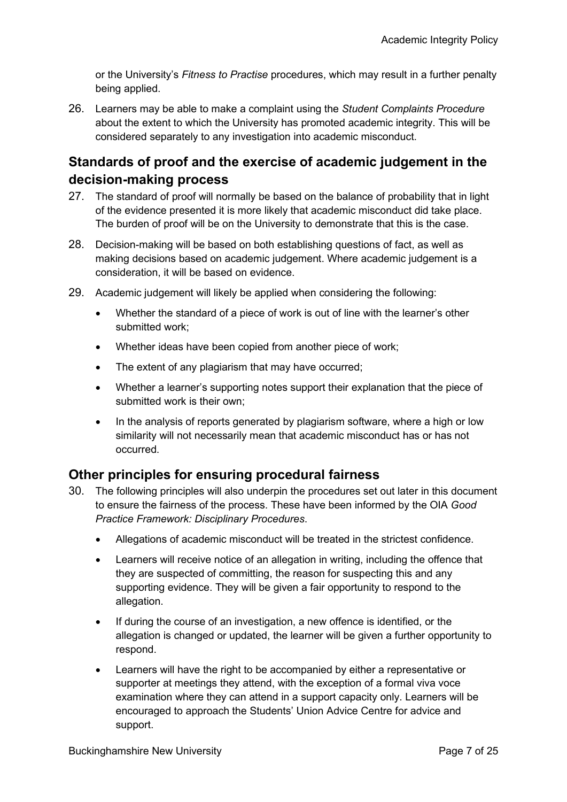or the University's *Fitness to Practise* procedures, which may result in a further penalty being applied.

26. Learners may be able to make a complaint using the *Student Complaints Procedure* about the extent to which the University has promoted academic integrity. This will be considered separately to any investigation into academic misconduct.

## <span id="page-6-0"></span>**Standards of proof and the exercise of academic judgement in the decision-making process**

- 27. The standard of proof will normally be based on the balance of probability that in light of the evidence presented it is more likely that academic misconduct did take place. The burden of proof will be on the University to demonstrate that this is the case.
- 28. Decision-making will be based on both establishing questions of fact, as well as making decisions based on academic judgement. Where academic judgement is a consideration, it will be based on evidence.
- 29. Academic judgement will likely be applied when considering the following:
	- Whether the standard of a piece of work is out of line with the learner's other submitted work;
	- Whether ideas have been copied from another piece of work;
	- The extent of any plagiarism that may have occurred;
	- Whether a learner's supporting notes support their explanation that the piece of submitted work is their own;
	- In the analysis of reports generated by plagiarism software, where a high or low similarity will not necessarily mean that academic misconduct has or has not occurred.

#### <span id="page-6-1"></span>**Other principles for ensuring procedural fairness**

- 30. The following principles will also underpin the procedures set out later in this document to ensure the fairness of the process. These have been informed by the OIA *Good Practice Framework: Disciplinary Procedures*.
	- Allegations of academic misconduct will be treated in the strictest confidence.
	- Learners will receive notice of an allegation in writing, including the offence that they are suspected of committing, the reason for suspecting this and any supporting evidence. They will be given a fair opportunity to respond to the allegation.
	- If during the course of an investigation, a new offence is identified, or the allegation is changed or updated, the learner will be given a further opportunity to respond.
	- Learners will have the right to be accompanied by either a representative or supporter at meetings they attend, with the exception of a formal viva voce examination where they can attend in a support capacity only. Learners will be encouraged to approach the Students' Union Advice Centre for advice and support.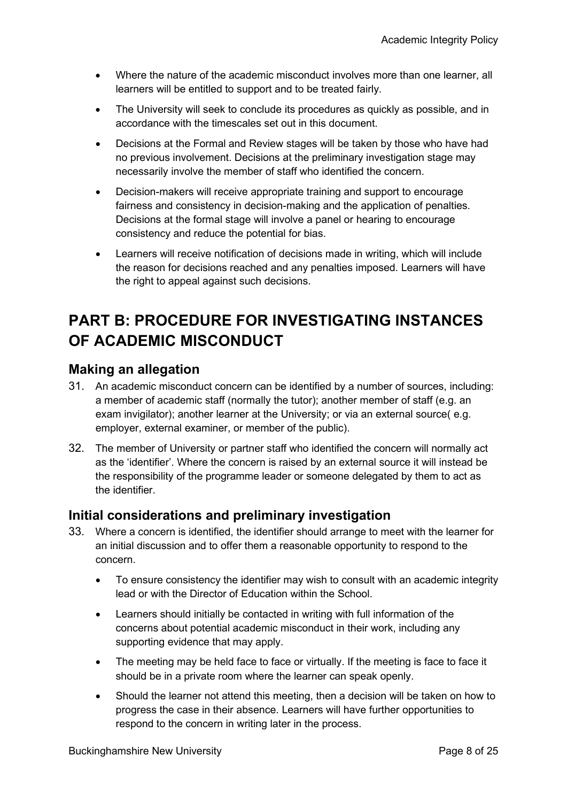- Where the nature of the academic misconduct involves more than one learner, all learners will be entitled to support and to be treated fairly.
- The University will seek to conclude its procedures as quickly as possible, and in accordance with the timescales set out in this document.
- Decisions at the Formal and Review stages will be taken by those who have had no previous involvement. Decisions at the preliminary investigation stage may necessarily involve the member of staff who identified the concern.
- Decision-makers will receive appropriate training and support to encourage fairness and consistency in decision-making and the application of penalties. Decisions at the formal stage will involve a panel or hearing to encourage consistency and reduce the potential for bias.
- Learners will receive notification of decisions made in writing, which will include the reason for decisions reached and any penalties imposed. Learners will have the right to appeal against such decisions.

# <span id="page-7-0"></span>**PART B: PROCEDURE FOR INVESTIGATING INSTANCES OF ACADEMIC MISCONDUCT**

#### <span id="page-7-1"></span>**Making an allegation**

- 31. An academic misconduct concern can be identified by a number of sources, including: a member of academic staff (normally the tutor); another member of staff (e.g. an exam invigilator); another learner at the University; or via an external source( e.g. employer, external examiner, or member of the public).
- 32. The member of University or partner staff who identified the concern will normally act as the 'identifier'. Where the concern is raised by an external source it will instead be the responsibility of the programme leader or someone delegated by them to act as the identifier.

#### <span id="page-7-2"></span>**Initial considerations and preliminary investigation**

- 33. Where a concern is identified, the identifier should arrange to meet with the learner for an initial discussion and to offer them a reasonable opportunity to respond to the concern.
	- To ensure consistency the identifier may wish to consult with an academic integrity lead or with the Director of Education within the School.
	- Learners should initially be contacted in writing with full information of the concerns about potential academic misconduct in their work, including any supporting evidence that may apply.
	- The meeting may be held face to face or virtually. If the meeting is face to face it should be in a private room where the learner can speak openly.
	- Should the learner not attend this meeting, then a decision will be taken on how to progress the case in their absence. Learners will have further opportunities to respond to the concern in writing later in the process.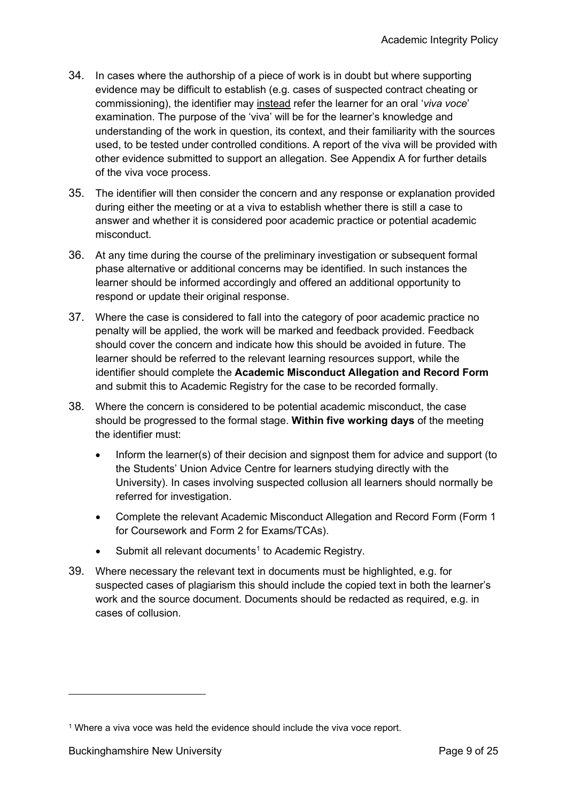- 34. In cases where the authorship of a piece of work is in doubt but where supporting evidence may be difficult to establish (e.g. cases of suspected contract cheating or commissioning), the identifier may instead refer the learner for an oral '*viva voce*' examination. The purpose of the 'viva' will be for the learner's knowledge and understanding of the work in question, its context, and their familiarity with the sources used, to be tested under controlled conditions. A report of the viva will be provided with other evidence submitted to support an allegation. See Appendix A for further details of the viva voce process.
- 35. The identifier will then consider the concern and any response or explanation provided during either the meeting or at a viva to establish whether there is still a case to answer and whether it is considered poor academic practice or potential academic misconduct.
- 36. At any time during the course of the preliminary investigation or subsequent formal phase alternative or additional concerns may be identified. In such instances the learner should be informed accordingly and offered an additional opportunity to respond or update their original response.
- 37. Where the case is considered to fall into the category of poor academic practice no penalty will be applied, the work will be marked and feedback provided. Feedback should cover the concern and indicate how this should be avoided in future. The learner should be referred to the relevant learning resources support, while the identifier should complete the **Academic Misconduct Allegation and Record Form** and submit this to Academic Registry for the case to be recorded formally.
- 38. Where the concern is considered to be potential academic misconduct, the case should be progressed to the formal stage. **Within five working days** of the meeting the identifier must:
	- Inform the learner(s) of their decision and signpost them for advice and support (to the Students' Union Advice Centre for learners studying directly with the University). In cases involving suspected collusion all learners should normally be referred for investigation.
	- Complete the relevant Academic Misconduct Allegation and Record Form (Form 1 for Coursework and Form 2 for Exams/TCAs).
	- Submit all relevant documents<sup>1</sup> to Academic Registry.
- 39. Where necessary the relevant text in documents must be highlighted, e.g. for suspected cases of plagiarism this should include the copied text in both the learner's work and the source document. Documents should be redacted as required, e.g. in cases of collusion.

<span id="page-8-0"></span><sup>1</sup> Where a viva voce was held the evidence should include the viva voce report.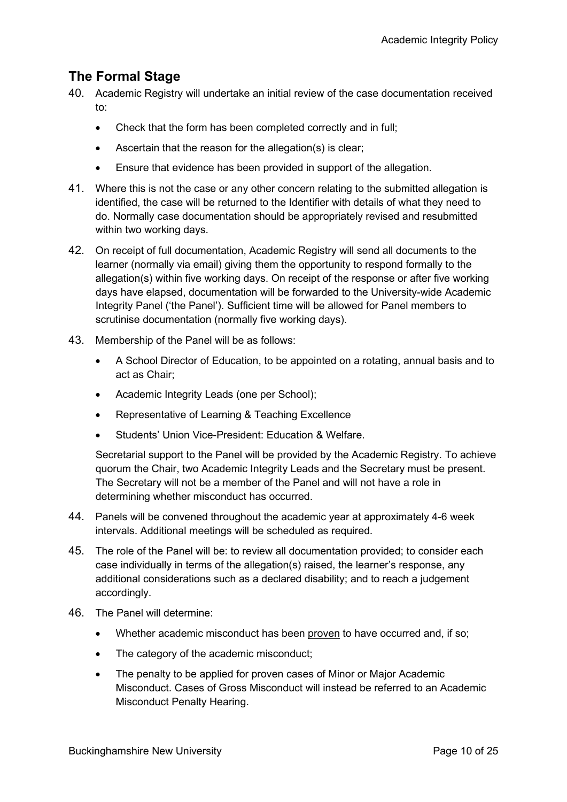## <span id="page-9-0"></span>**The Formal Stage**

- 40. Academic Registry will undertake an initial review of the case documentation received to:
	- Check that the form has been completed correctly and in full;
	- Ascertain that the reason for the allegation(s) is clear;
	- Ensure that evidence has been provided in support of the allegation.
- 41. Where this is not the case or any other concern relating to the submitted allegation is identified, the case will be returned to the Identifier with details of what they need to do. Normally case documentation should be appropriately revised and resubmitted within two working days.
- 42. On receipt of full documentation, Academic Registry will send all documents to the learner (normally via email) giving them the opportunity to respond formally to the allegation(s) within five working days. On receipt of the response or after five working days have elapsed, documentation will be forwarded to the University-wide Academic Integrity Panel ('the Panel'). Sufficient time will be allowed for Panel members to scrutinise documentation (normally five working days).
- 43. Membership of the Panel will be as follows:
	- A School Director of Education, to be appointed on a rotating, annual basis and to act as Chair;
	- Academic Integrity Leads (one per School);
	- Representative of Learning & Teaching Excellence
	- Students' Union Vice-President: Education & Welfare.

Secretarial support to the Panel will be provided by the Academic Registry. To achieve quorum the Chair, two Academic Integrity Leads and the Secretary must be present. The Secretary will not be a member of the Panel and will not have a role in determining whether misconduct has occurred.

- 44. Panels will be convened throughout the academic year at approximately 4-6 week intervals. Additional meetings will be scheduled as required.
- 45. The role of the Panel will be: to review all documentation provided; to consider each case individually in terms of the allegation(s) raised, the learner's response, any additional considerations such as a declared disability; and to reach a judgement accordingly.
- 46. The Panel will determine:
	- Whether academic misconduct has been proven to have occurred and, if so;
	- The category of the academic misconduct;
	- The penalty to be applied for proven cases of Minor or Major Academic Misconduct. Cases of Gross Misconduct will instead be referred to an Academic Misconduct Penalty Hearing.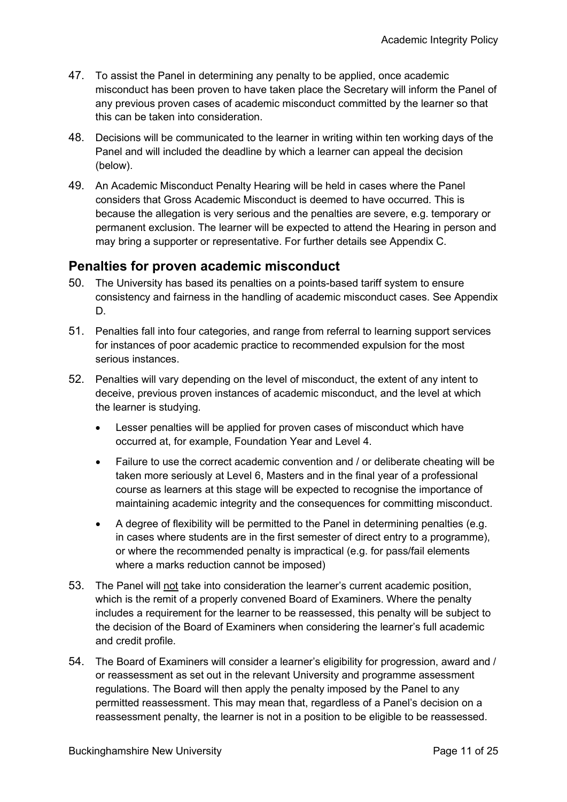- 47. To assist the Panel in determining any penalty to be applied, once academic misconduct has been proven to have taken place the Secretary will inform the Panel of any previous proven cases of academic misconduct committed by the learner so that this can be taken into consideration.
- 48. Decisions will be communicated to the learner in writing within ten working days of the Panel and will included the deadline by which a learner can appeal the decision (below).
- 49. An Academic Misconduct Penalty Hearing will be held in cases where the Panel considers that Gross Academic Misconduct is deemed to have occurred. This is because the allegation is very serious and the penalties are severe, e.g. temporary or permanent exclusion. The learner will be expected to attend the Hearing in person and may bring a supporter or representative. For further details see Appendix C.

#### <span id="page-10-0"></span>**Penalties for proven academic misconduct**

- 50. The University has based its penalties on a points-based tariff system to ensure consistency and fairness in the handling of academic misconduct cases. See Appendix D.
- 51. Penalties fall into four categories, and range from referral to learning support services for instances of poor academic practice to recommended expulsion for the most serious instances.
- 52. Penalties will vary depending on the level of misconduct, the extent of any intent to deceive, previous proven instances of academic misconduct, and the level at which the learner is studying.
	- Lesser penalties will be applied for proven cases of misconduct which have occurred at, for example, Foundation Year and Level 4.
	- Failure to use the correct academic convention and / or deliberate cheating will be taken more seriously at Level 6, Masters and in the final year of a professional course as learners at this stage will be expected to recognise the importance of maintaining academic integrity and the consequences for committing misconduct.
	- A degree of flexibility will be permitted to the Panel in determining penalties (e.g. in cases where students are in the first semester of direct entry to a programme), or where the recommended penalty is impractical (e.g. for pass/fail elements where a marks reduction cannot be imposed)
- 53. The Panel will not take into consideration the learner's current academic position, which is the remit of a properly convened Board of Examiners. Where the penalty includes a requirement for the learner to be reassessed, this penalty will be subject to the decision of the Board of Examiners when considering the learner's full academic and credit profile.
- 54. The Board of Examiners will consider a learner's eligibility for progression, award and / or reassessment as set out in the relevant University and programme assessment regulations. The Board will then apply the penalty imposed by the Panel to any permitted reassessment. This may mean that, regardless of a Panel's decision on a reassessment penalty, the learner is not in a position to be eligible to be reassessed.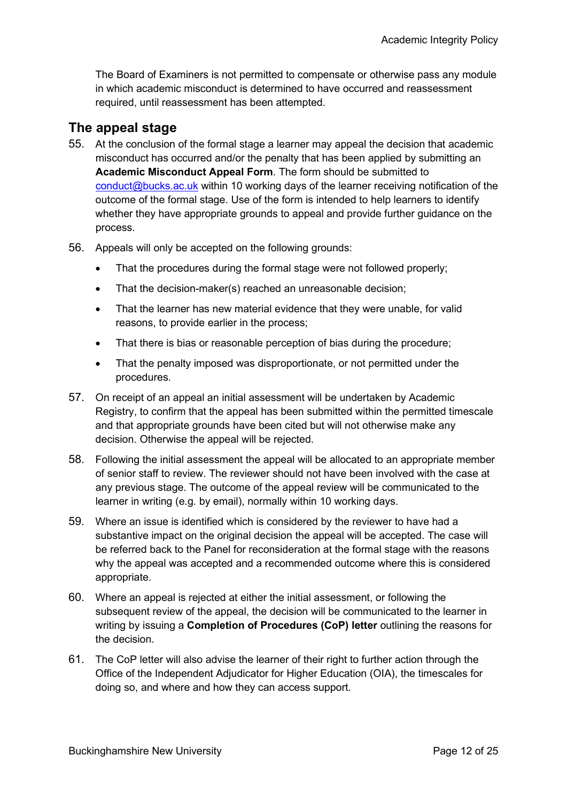The Board of Examiners is not permitted to compensate or otherwise pass any module in which academic misconduct is determined to have occurred and reassessment required, until reassessment has been attempted.

#### <span id="page-11-0"></span>**The appeal stage**

- 55. At the conclusion of the formal stage a learner may appeal the decision that academic misconduct has occurred and/or the penalty that has been applied by submitting an **Academic Misconduct Appeal Form**. The form should be submitted to [conduct@bucks.ac.uk](mailto:conduct@bucks.ac.uk) within 10 working days of the learner receiving notification of the outcome of the formal stage. Use of the form is intended to help learners to identify whether they have appropriate grounds to appeal and provide further guidance on the process.
- 56. Appeals will only be accepted on the following grounds:
	- That the procedures during the formal stage were not followed properly;
	- That the decision-maker(s) reached an unreasonable decision;
	- That the learner has new material evidence that they were unable, for valid reasons, to provide earlier in the process;
	- That there is bias or reasonable perception of bias during the procedure;
	- That the penalty imposed was disproportionate, or not permitted under the procedures.
- 57. On receipt of an appeal an initial assessment will be undertaken by Academic Registry, to confirm that the appeal has been submitted within the permitted timescale and that appropriate grounds have been cited but will not otherwise make any decision. Otherwise the appeal will be rejected.
- 58. Following the initial assessment the appeal will be allocated to an appropriate member of senior staff to review. The reviewer should not have been involved with the case at any previous stage. The outcome of the appeal review will be communicated to the learner in writing (e.g. by email), normally within 10 working days.
- 59. Where an issue is identified which is considered by the reviewer to have had a substantive impact on the original decision the appeal will be accepted. The case will be referred back to the Panel for reconsideration at the formal stage with the reasons why the appeal was accepted and a recommended outcome where this is considered appropriate.
- 60. Where an appeal is rejected at either the initial assessment, or following the subsequent review of the appeal, the decision will be communicated to the learner in writing by issuing a **Completion of Procedures (CoP) letter** outlining the reasons for the decision.
- 61. The CoP letter will also advise the learner of their right to further action through the Office of the Independent Adjudicator for Higher Education (OIA), the timescales for doing so, and where and how they can access support.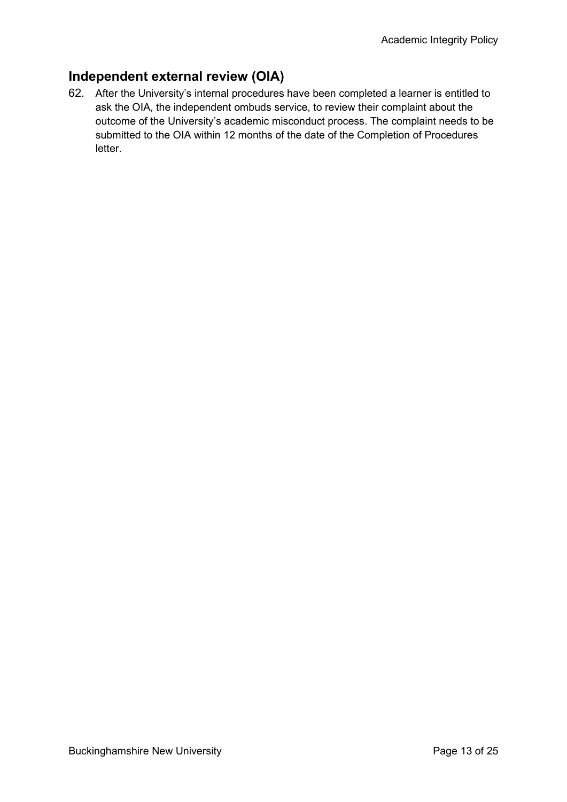## <span id="page-12-0"></span>**Independent external review (OIA)**

62. After the University's internal procedures have been completed a learner is entitled to ask the OIA, the independent ombuds service, to review their complaint about the outcome of the University's academic misconduct process. The complaint needs to be submitted to the OIA within 12 months of the date of the Completion of Procedures letter.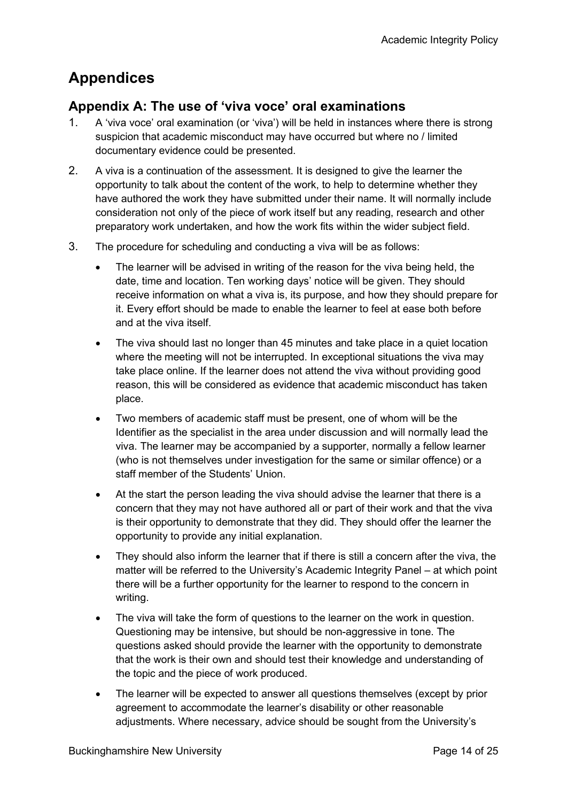# <span id="page-13-0"></span>**Appendices**

## <span id="page-13-1"></span>**Appendix A: The use of 'viva voce' oral examinations**

- 1. A 'viva voce' oral examination (or 'viva') will be held in instances where there is strong suspicion that academic misconduct may have occurred but where no / limited documentary evidence could be presented.
- 2. A viva is a continuation of the assessment. It is designed to give the learner the opportunity to talk about the content of the work, to help to determine whether they have authored the work they have submitted under their name. It will normally include consideration not only of the piece of work itself but any reading, research and other preparatory work undertaken, and how the work fits within the wider subject field.
- 3. The procedure for scheduling and conducting a viva will be as follows:
	- The learner will be advised in writing of the reason for the viva being held, the date, time and location. Ten working days' notice will be given. They should receive information on what a viva is, its purpose, and how they should prepare for it. Every effort should be made to enable the learner to feel at ease both before and at the viva itself.
	- The viva should last no longer than 45 minutes and take place in a quiet location where the meeting will not be interrupted. In exceptional situations the viva may take place online. If the learner does not attend the viva without providing good reason, this will be considered as evidence that academic misconduct has taken place.
	- Two members of academic staff must be present, one of whom will be the Identifier as the specialist in the area under discussion and will normally lead the viva. The learner may be accompanied by a supporter, normally a fellow learner (who is not themselves under investigation for the same or similar offence) or a staff member of the Students' Union.
	- At the start the person leading the viva should advise the learner that there is a concern that they may not have authored all or part of their work and that the viva is their opportunity to demonstrate that they did. They should offer the learner the opportunity to provide any initial explanation.
	- They should also inform the learner that if there is still a concern after the viva, the matter will be referred to the University's Academic Integrity Panel – at which point there will be a further opportunity for the learner to respond to the concern in writing.
	- The viva will take the form of questions to the learner on the work in question. Questioning may be intensive, but should be non-aggressive in tone. The questions asked should provide the learner with the opportunity to demonstrate that the work is their own and should test their knowledge and understanding of the topic and the piece of work produced.
	- The learner will be expected to answer all questions themselves (except by prior agreement to accommodate the learner's disability or other reasonable adjustments. Where necessary, advice should be sought from the University's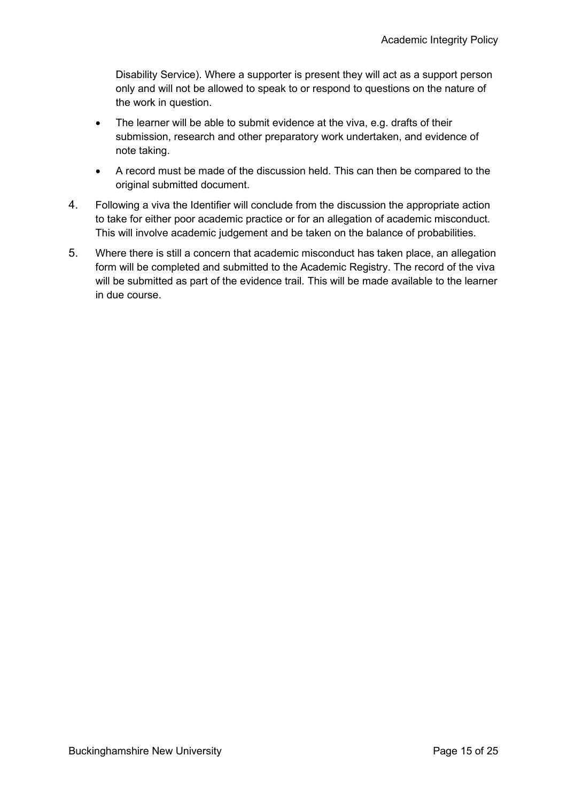Disability Service). Where a supporter is present they will act as a support person only and will not be allowed to speak to or respond to questions on the nature of the work in question.

- The learner will be able to submit evidence at the viva, e.g. drafts of their submission, research and other preparatory work undertaken, and evidence of note taking.
- A record must be made of the discussion held. This can then be compared to the original submitted document.
- 4. Following a viva the Identifier will conclude from the discussion the appropriate action to take for either poor academic practice or for an allegation of academic misconduct. This will involve academic judgement and be taken on the balance of probabilities.
- 5. Where there is still a concern that academic misconduct has taken place, an allegation form will be completed and submitted to the Academic Registry. The record of the viva will be submitted as part of the evidence trail. This will be made available to the learner in due course.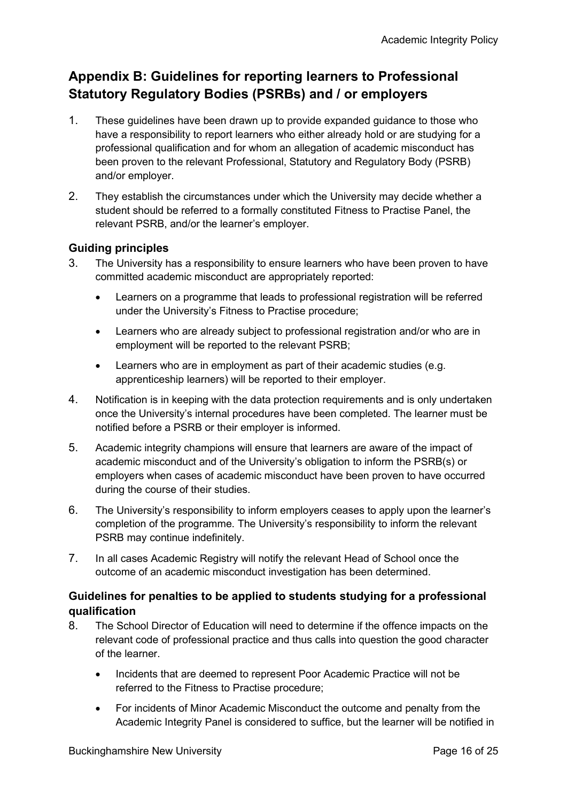## <span id="page-15-0"></span>**Appendix B: Guidelines for reporting learners to Professional Statutory Regulatory Bodies (PSRBs) and / or employers**

- 1. These guidelines have been drawn up to provide expanded guidance to those who have a responsibility to report learners who either already hold or are studying for a professional qualification and for whom an allegation of academic misconduct has been proven to the relevant Professional, Statutory and Regulatory Body (PSRB) and/or employer.
- 2. They establish the circumstances under which the University may decide whether a student should be referred to a formally constituted Fitness to Practise Panel, the relevant PSRB, and/or the learner's employer.

#### **Guiding principles**

- 3. The University has a responsibility to ensure learners who have been proven to have committed academic misconduct are appropriately reported:
	- Learners on a programme that leads to professional registration will be referred under the University's Fitness to Practise procedure;
	- Learners who are already subject to professional registration and/or who are in employment will be reported to the relevant PSRB;
	- Learners who are in employment as part of their academic studies (e.g. apprenticeship learners) will be reported to their employer.
- 4. Notification is in keeping with the data protection requirements and is only undertaken once the University's internal procedures have been completed. The learner must be notified before a PSRB or their employer is informed.
- 5. Academic integrity champions will ensure that learners are aware of the impact of academic misconduct and of the University's obligation to inform the PSRB(s) or employers when cases of academic misconduct have been proven to have occurred during the course of their studies.
- 6. The University's responsibility to inform employers ceases to apply upon the learner's completion of the programme. The University's responsibility to inform the relevant PSRB may continue indefinitely.
- 7. In all cases Academic Registry will notify the relevant Head of School once the outcome of an academic misconduct investigation has been determined.

#### **Guidelines for penalties to be applied to students studying for a professional qualification**

- 8. The School Director of Education will need to determine if the offence impacts on the relevant code of professional practice and thus calls into question the good character of the learner.
	- Incidents that are deemed to represent Poor Academic Practice will not be referred to the Fitness to Practise procedure;
	- For incidents of Minor Academic Misconduct the outcome and penalty from the Academic Integrity Panel is considered to suffice, but the learner will be notified in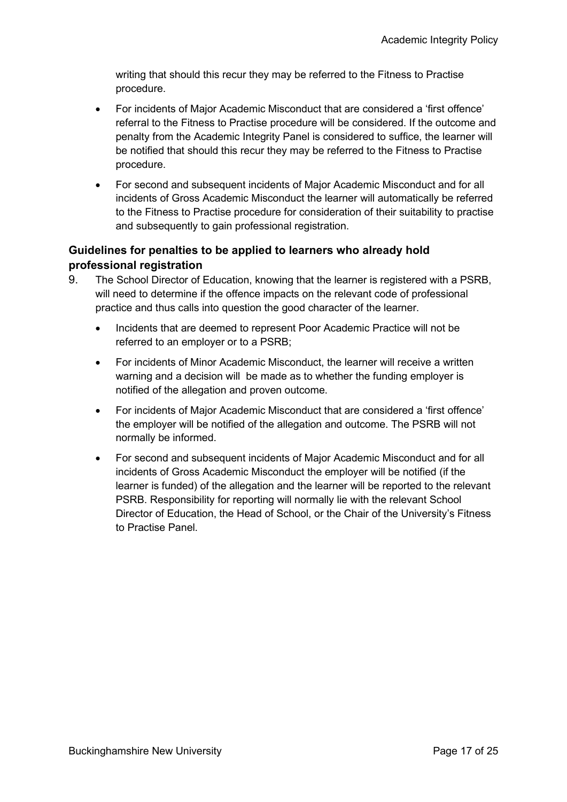writing that should this recur they may be referred to the Fitness to Practise procedure.

- For incidents of Major Academic Misconduct that are considered a 'first offence' referral to the Fitness to Practise procedure will be considered. If the outcome and penalty from the Academic Integrity Panel is considered to suffice, the learner will be notified that should this recur they may be referred to the Fitness to Practise procedure.
- For second and subsequent incidents of Major Academic Misconduct and for all incidents of Gross Academic Misconduct the learner will automatically be referred to the Fitness to Practise procedure for consideration of their suitability to practise and subsequently to gain professional registration.

#### **Guidelines for penalties to be applied to learners who already hold professional registration**

- 9. The School Director of Education, knowing that the learner is registered with a PSRB, will need to determine if the offence impacts on the relevant code of professional practice and thus calls into question the good character of the learner.
	- Incidents that are deemed to represent Poor Academic Practice will not be referred to an employer or to a PSRB;
	- For incidents of Minor Academic Misconduct, the learner will receive a written warning and a decision will be made as to whether the funding employer is notified of the allegation and proven outcome.
	- For incidents of Major Academic Misconduct that are considered a 'first offence' the employer will be notified of the allegation and outcome. The PSRB will not normally be informed.
	- For second and subsequent incidents of Major Academic Misconduct and for all incidents of Gross Academic Misconduct the employer will be notified (if the learner is funded) of the allegation and the learner will be reported to the relevant PSRB. Responsibility for reporting will normally lie with the relevant School Director of Education, the Head of School, or the Chair of the University's Fitness to Practise Panel.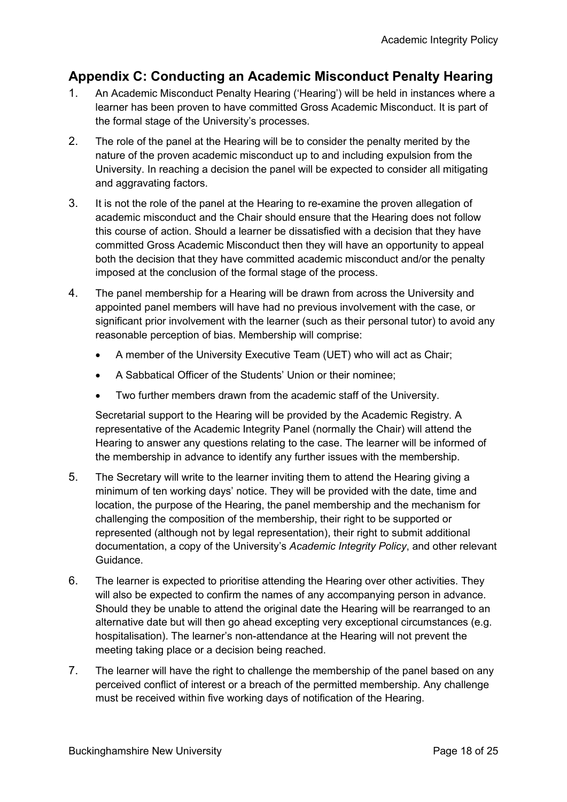## <span id="page-17-0"></span>**Appendix C: Conducting an Academic Misconduct Penalty Hearing**

- 1. An Academic Misconduct Penalty Hearing ('Hearing') will be held in instances where a learner has been proven to have committed Gross Academic Misconduct. It is part of the formal stage of the University's processes.
- 2. The role of the panel at the Hearing will be to consider the penalty merited by the nature of the proven academic misconduct up to and including expulsion from the University. In reaching a decision the panel will be expected to consider all mitigating and aggravating factors.
- 3. It is not the role of the panel at the Hearing to re-examine the proven allegation of academic misconduct and the Chair should ensure that the Hearing does not follow this course of action. Should a learner be dissatisfied with a decision that they have committed Gross Academic Misconduct then they will have an opportunity to appeal both the decision that they have committed academic misconduct and/or the penalty imposed at the conclusion of the formal stage of the process.
- 4. The panel membership for a Hearing will be drawn from across the University and appointed panel members will have had no previous involvement with the case, or significant prior involvement with the learner (such as their personal tutor) to avoid any reasonable perception of bias. Membership will comprise:
	- A member of the University Executive Team (UET) who will act as Chair;
	- A Sabbatical Officer of the Students' Union or their nominee;
	- Two further members drawn from the academic staff of the University.

Secretarial support to the Hearing will be provided by the Academic Registry. A representative of the Academic Integrity Panel (normally the Chair) will attend the Hearing to answer any questions relating to the case. The learner will be informed of the membership in advance to identify any further issues with the membership.

- 5. The Secretary will write to the learner inviting them to attend the Hearing giving a minimum of ten working days' notice. They will be provided with the date, time and location, the purpose of the Hearing, the panel membership and the mechanism for challenging the composition of the membership, their right to be supported or represented (although not by legal representation), their right to submit additional documentation, a copy of the University's *Academic Integrity Policy*, and other relevant Guidance.
- 6. The learner is expected to prioritise attending the Hearing over other activities. They will also be expected to confirm the names of any accompanying person in advance. Should they be unable to attend the original date the Hearing will be rearranged to an alternative date but will then go ahead excepting very exceptional circumstances (e.g. hospitalisation). The learner's non-attendance at the Hearing will not prevent the meeting taking place or a decision being reached.
- 7. The learner will have the right to challenge the membership of the panel based on any perceived conflict of interest or a breach of the permitted membership. Any challenge must be received within five working days of notification of the Hearing.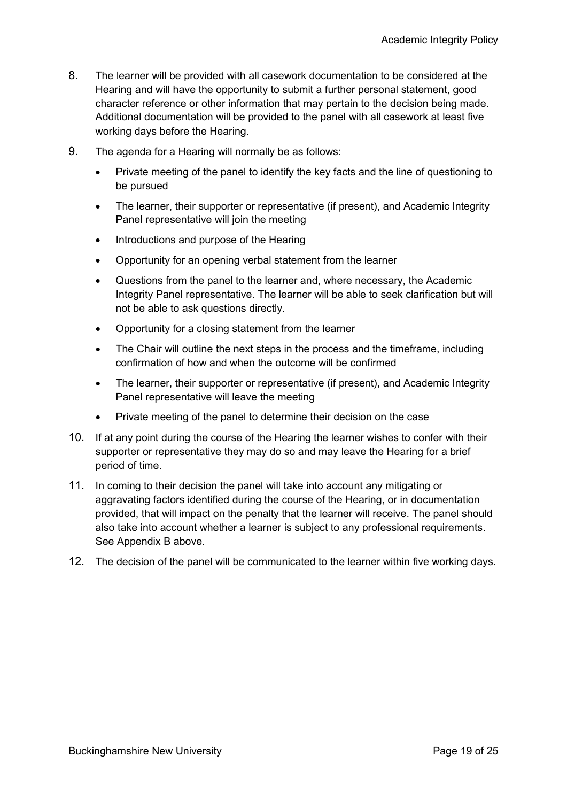- 8. The learner will be provided with all casework documentation to be considered at the Hearing and will have the opportunity to submit a further personal statement, good character reference or other information that may pertain to the decision being made. Additional documentation will be provided to the panel with all casework at least five working days before the Hearing.
- 9. The agenda for a Hearing will normally be as follows:
	- Private meeting of the panel to identify the key facts and the line of questioning to be pursued
	- The learner, their supporter or representative (if present), and Academic Integrity Panel representative will join the meeting
	- Introductions and purpose of the Hearing
	- Opportunity for an opening verbal statement from the learner
	- Questions from the panel to the learner and, where necessary, the Academic Integrity Panel representative. The learner will be able to seek clarification but will not be able to ask questions directly.
	- Opportunity for a closing statement from the learner
	- The Chair will outline the next steps in the process and the timeframe, including confirmation of how and when the outcome will be confirmed
	- The learner, their supporter or representative (if present), and Academic Integrity Panel representative will leave the meeting
	- Private meeting of the panel to determine their decision on the case
- 10. If at any point during the course of the Hearing the learner wishes to confer with their supporter or representative they may do so and may leave the Hearing for a brief period of time.
- 11. In coming to their decision the panel will take into account any mitigating or aggravating factors identified during the course of the Hearing, or in documentation provided, that will impact on the penalty that the learner will receive. The panel should also take into account whether a learner is subject to any professional requirements. See Appendix B above.
- 12. The decision of the panel will be communicated to the learner within five working days.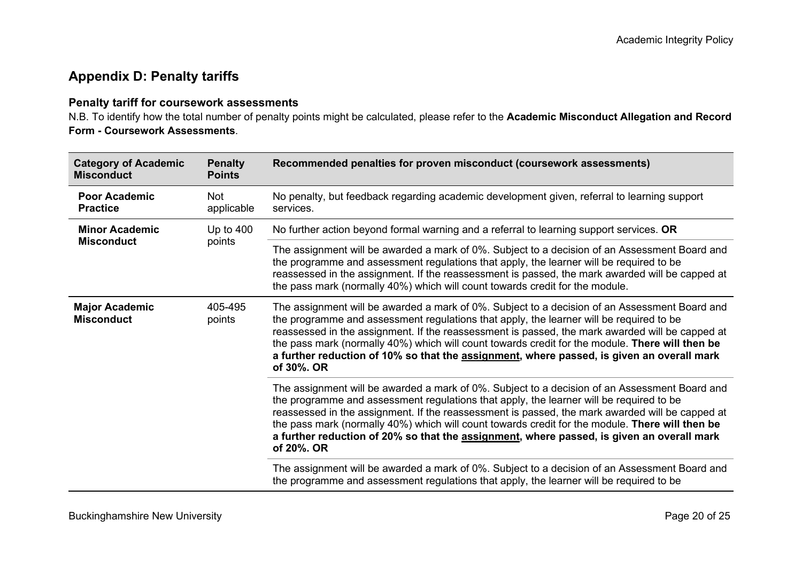## **Appendix D: Penalty tariffs**

#### **Penalty tariff for coursework assessments**

N.B. To identify how the total number of penalty points might be calculated, please refer to the **Academic Misconduct Allegation and Record Form - Coursework Assessments**.

<span id="page-19-0"></span>

| <b>Category of Academic</b><br><b>Misconduct</b> | <b>Penalty</b><br><b>Points</b> | Recommended penalties for proven misconduct (coursework assessments)                                                                                                                                                                                                                                                                                                                                                                                                                                              |
|--------------------------------------------------|---------------------------------|-------------------------------------------------------------------------------------------------------------------------------------------------------------------------------------------------------------------------------------------------------------------------------------------------------------------------------------------------------------------------------------------------------------------------------------------------------------------------------------------------------------------|
| <b>Poor Academic</b><br><b>Practice</b>          | Not<br>applicable               | No penalty, but feedback regarding academic development given, referral to learning support<br>services.                                                                                                                                                                                                                                                                                                                                                                                                          |
| <b>Minor Academic</b><br><b>Misconduct</b>       | Up to $400$<br>points           | No further action beyond formal warning and a referral to learning support services. OR                                                                                                                                                                                                                                                                                                                                                                                                                           |
|                                                  |                                 | The assignment will be awarded a mark of 0%. Subject to a decision of an Assessment Board and<br>the programme and assessment regulations that apply, the learner will be required to be<br>reassessed in the assignment. If the reassessment is passed, the mark awarded will be capped at<br>the pass mark (normally 40%) which will count towards credit for the module.                                                                                                                                       |
| <b>Major Academic</b><br><b>Misconduct</b>       | 405-495<br>points               | The assignment will be awarded a mark of 0%. Subject to a decision of an Assessment Board and<br>the programme and assessment regulations that apply, the learner will be required to be<br>reassessed in the assignment. If the reassessment is passed, the mark awarded will be capped at<br>the pass mark (normally 40%) which will count towards credit for the module. There will then be<br>a further reduction of 10% so that the <b>assignment</b> , where passed, is given an overall mark<br>of 30%. OR |
|                                                  |                                 | The assignment will be awarded a mark of 0%. Subject to a decision of an Assessment Board and<br>the programme and assessment regulations that apply, the learner will be required to be<br>reassessed in the assignment. If the reassessment is passed, the mark awarded will be capped at<br>the pass mark (normally 40%) which will count towards credit for the module. There will then be<br>a further reduction of 20% so that the <b>assignment</b> , where passed, is given an overall mark<br>of 20%. OR |
|                                                  |                                 | The assignment will be awarded a mark of 0%. Subject to a decision of an Assessment Board and<br>the programme and assessment regulations that apply, the learner will be required to be                                                                                                                                                                                                                                                                                                                          |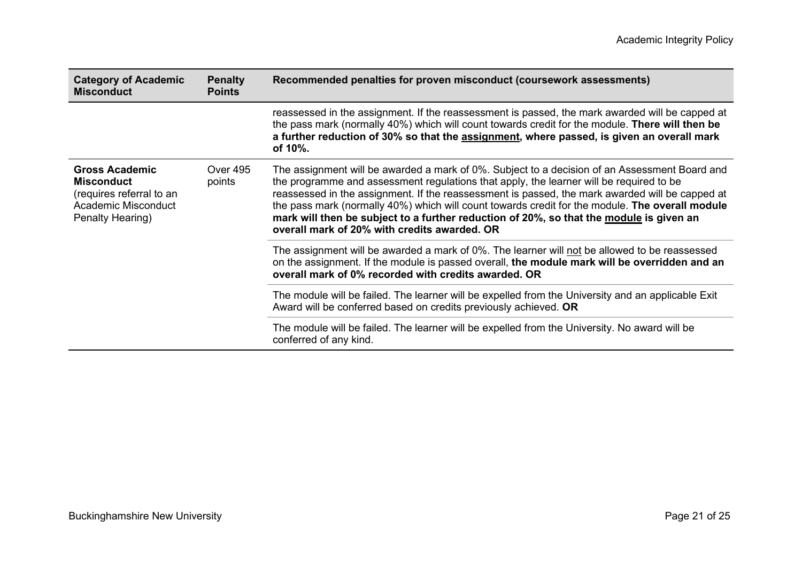| <b>Category of Academic</b><br><b>Misconduct</b>                                                                  | <b>Penalty</b><br><b>Points</b> | Recommended penalties for proven misconduct (coursework assessments)                                                                                                                                                                                                                                                                                                                                                                                                                                                                      |
|-------------------------------------------------------------------------------------------------------------------|---------------------------------|-------------------------------------------------------------------------------------------------------------------------------------------------------------------------------------------------------------------------------------------------------------------------------------------------------------------------------------------------------------------------------------------------------------------------------------------------------------------------------------------------------------------------------------------|
|                                                                                                                   |                                 | reassessed in the assignment. If the reassessment is passed, the mark awarded will be capped at<br>the pass mark (normally 40%) which will count towards credit for the module. There will then be<br>a further reduction of 30% so that the assignment, where passed, is given an overall mark<br>of 10%.                                                                                                                                                                                                                                |
| <b>Gross Academic</b><br><b>Misconduct</b><br>(requires referral to an<br>Academic Misconduct<br>Penalty Hearing) | <b>Over 495</b><br>points       | The assignment will be awarded a mark of 0%. Subject to a decision of an Assessment Board and<br>the programme and assessment regulations that apply, the learner will be required to be<br>reassessed in the assignment. If the reassessment is passed, the mark awarded will be capped at<br>the pass mark (normally 40%) which will count towards credit for the module. The overall module<br>mark will then be subject to a further reduction of 20%, so that the module is given an<br>overall mark of 20% with credits awarded. OR |
|                                                                                                                   |                                 | The assignment will be awarded a mark of 0%. The learner will not be allowed to be reassessed<br>on the assignment. If the module is passed overall, the module mark will be overridden and an<br>overall mark of 0% recorded with credits awarded. OR                                                                                                                                                                                                                                                                                    |
|                                                                                                                   |                                 | The module will be failed. The learner will be expelled from the University and an applicable Exit<br>Award will be conferred based on credits previously achieved. OR                                                                                                                                                                                                                                                                                                                                                                    |
|                                                                                                                   |                                 | The module will be failed. The learner will be expelled from the University. No award will be<br>conferred of any kind.                                                                                                                                                                                                                                                                                                                                                                                                                   |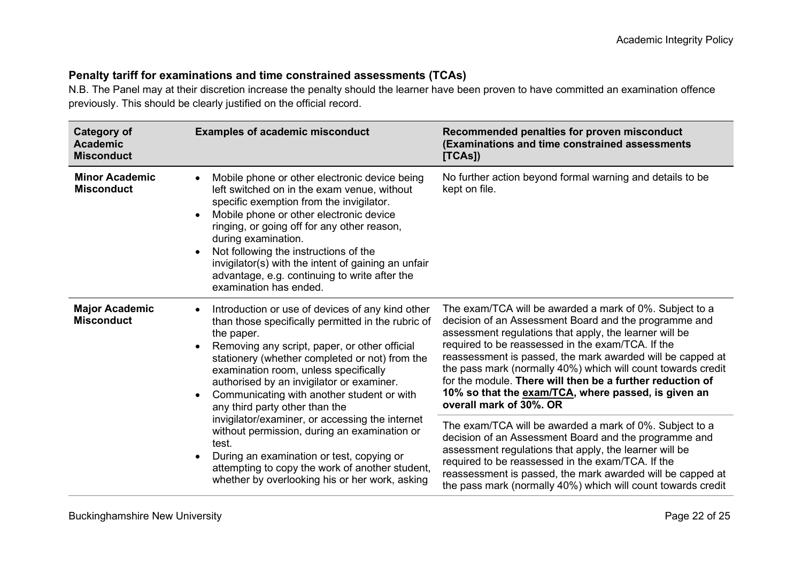#### **Penalty tariff for examinations and time constrained assessments (TCAs)**

N.B. The Panel may at their discretion increase the penalty should the learner have been proven to have committed an examination offence previously. This should be clearly justified on the official record.

| Category of<br><b>Academic</b><br><b>Misconduct</b>                                                                                                                                                                                                                                                                                                                                                                                                                                                                                                                                                                                                                                                                                                           | <b>Examples of academic misconduct</b>                                                                                                                                                                                                                                                                                                                                                                                                                                                                       | Recommended penalties for proven misconduct<br>(Examinations and time constrained assessments<br>[TCAS]                                                                                                                                                                                                                                                       |
|---------------------------------------------------------------------------------------------------------------------------------------------------------------------------------------------------------------------------------------------------------------------------------------------------------------------------------------------------------------------------------------------------------------------------------------------------------------------------------------------------------------------------------------------------------------------------------------------------------------------------------------------------------------------------------------------------------------------------------------------------------------|--------------------------------------------------------------------------------------------------------------------------------------------------------------------------------------------------------------------------------------------------------------------------------------------------------------------------------------------------------------------------------------------------------------------------------------------------------------------------------------------------------------|---------------------------------------------------------------------------------------------------------------------------------------------------------------------------------------------------------------------------------------------------------------------------------------------------------------------------------------------------------------|
| <b>Minor Academic</b><br><b>Misconduct</b>                                                                                                                                                                                                                                                                                                                                                                                                                                                                                                                                                                                                                                                                                                                    | Mobile phone or other electronic device being<br>$\bullet$<br>left switched on in the exam venue, without<br>specific exemption from the invigilator.<br>Mobile phone or other electronic device<br>$\bullet$<br>ringing, or going off for any other reason,<br>during examination.<br>Not following the instructions of the<br>$\bullet$<br>invigilator(s) with the intent of gaining an unfair<br>advantage, e.g. continuing to write after the<br>examination has ended.                                  | No further action beyond formal warning and details to be<br>kept on file.                                                                                                                                                                                                                                                                                    |
| <b>Major Academic</b><br>Introduction or use of devices of any kind other<br>$\bullet$<br><b>Misconduct</b><br>than those specifically permitted in the rubric of<br>the paper.<br>Removing any script, paper, or other official<br>$\bullet$<br>stationery (whether completed or not) from the<br>examination room, unless specifically<br>authorised by an invigilator or examiner.<br>Communicating with another student or with<br>$\bullet$<br>any third party other than the<br>invigilator/examiner, or accessing the internet<br>without permission, during an examination or<br>test.<br>During an examination or test, copying or<br>$\bullet$<br>attempting to copy the work of another student,<br>whether by overlooking his or her work, asking | The exam/TCA will be awarded a mark of 0%. Subject to a<br>decision of an Assessment Board and the programme and<br>assessment regulations that apply, the learner will be<br>required to be reassessed in the exam/TCA. If the<br>reassessment is passed, the mark awarded will be capped at<br>the pass mark (normally 40%) which will count towards credit<br>for the module. There will then be a further reduction of<br>10% so that the exam/TCA, where passed, is given an<br>overall mark of 30%. OR |                                                                                                                                                                                                                                                                                                                                                               |
|                                                                                                                                                                                                                                                                                                                                                                                                                                                                                                                                                                                                                                                                                                                                                               |                                                                                                                                                                                                                                                                                                                                                                                                                                                                                                              | The exam/TCA will be awarded a mark of 0%. Subject to a<br>decision of an Assessment Board and the programme and<br>assessment regulations that apply, the learner will be<br>required to be reassessed in the exam/TCA. If the<br>reassessment is passed, the mark awarded will be capped at<br>the pass mark (normally 40%) which will count towards credit |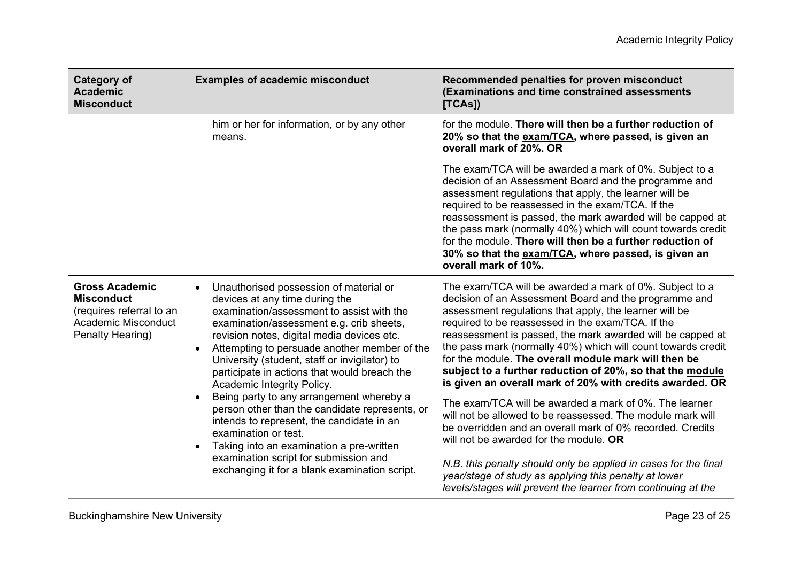| <b>Category of</b><br><b>Academic</b><br><b>Misconduct</b>                                                                                                            | <b>Examples of academic misconduct</b>                                                                                                                                                                                                                                                                                                                                                                                                                                                                                                                                                                                                                                                                  | Recommended penalties for proven misconduct<br>(Examinations and time constrained assessments<br>[TCAS]                                                                                                                                                                                                                                                                                                                                                                                                                                        |
|-----------------------------------------------------------------------------------------------------------------------------------------------------------------------|---------------------------------------------------------------------------------------------------------------------------------------------------------------------------------------------------------------------------------------------------------------------------------------------------------------------------------------------------------------------------------------------------------------------------------------------------------------------------------------------------------------------------------------------------------------------------------------------------------------------------------------------------------------------------------------------------------|------------------------------------------------------------------------------------------------------------------------------------------------------------------------------------------------------------------------------------------------------------------------------------------------------------------------------------------------------------------------------------------------------------------------------------------------------------------------------------------------------------------------------------------------|
| him or her for information, or by any other<br>means.                                                                                                                 |                                                                                                                                                                                                                                                                                                                                                                                                                                                                                                                                                                                                                                                                                                         | for the module. There will then be a further reduction of<br>20% so that the exam/TCA, where passed, is given an<br>overall mark of 20%. OR                                                                                                                                                                                                                                                                                                                                                                                                    |
|                                                                                                                                                                       | The exam/TCA will be awarded a mark of 0%. Subject to a<br>decision of an Assessment Board and the programme and<br>assessment regulations that apply, the learner will be<br>required to be reassessed in the exam/TCA. If the<br>reassessment is passed, the mark awarded will be capped at<br>the pass mark (normally 40%) which will count towards credit<br>for the module. There will then be a further reduction of<br>30% so that the exam/TCA, where passed, is given an<br>overall mark of 10%.                                                                                                                                                                                               |                                                                                                                                                                                                                                                                                                                                                                                                                                                                                                                                                |
| <b>Gross Academic</b><br>$\bullet$<br><b>Misconduct</b><br>(requires referral to an<br>Academic Misconduct<br>Penalty Hearing)<br>$\bullet$<br>$\bullet$<br>$\bullet$ | Unauthorised possession of material or<br>devices at any time during the<br>examination/assessment to assist with the<br>examination/assessment e.g. crib sheets,<br>revision notes, digital media devices etc.<br>Attempting to persuade another member of the<br>University (student, staff or invigilator) to<br>participate in actions that would breach the<br>Academic Integrity Policy.<br>Being party to any arrangement whereby a<br>person other than the candidate represents, or<br>intends to represent, the candidate in an<br>examination or test.<br>Taking into an examination a pre-written<br>examination script for submission and<br>exchanging it for a blank examination script. | The exam/TCA will be awarded a mark of 0%. Subject to a<br>decision of an Assessment Board and the programme and<br>assessment regulations that apply, the learner will be<br>required to be reassessed in the exam/TCA. If the<br>reassessment is passed, the mark awarded will be capped at<br>the pass mark (normally 40%) which will count towards credit<br>for the module. The overall module mark will then be<br>subject to a further reduction of 20%, so that the module<br>is given an overall mark of 20% with credits awarded. OR |
|                                                                                                                                                                       |                                                                                                                                                                                                                                                                                                                                                                                                                                                                                                                                                                                                                                                                                                         | The exam/TCA will be awarded a mark of 0%. The learner<br>will not be allowed to be reassessed. The module mark will<br>be overridden and an overall mark of 0% recorded. Credits<br>will not be awarded for the module. OR<br>N.B. this penalty should only be applied in cases for the final<br>year/stage of study as applying this penalty at lower<br>levels/stages will prevent the learner from continuing at the                                                                                                                       |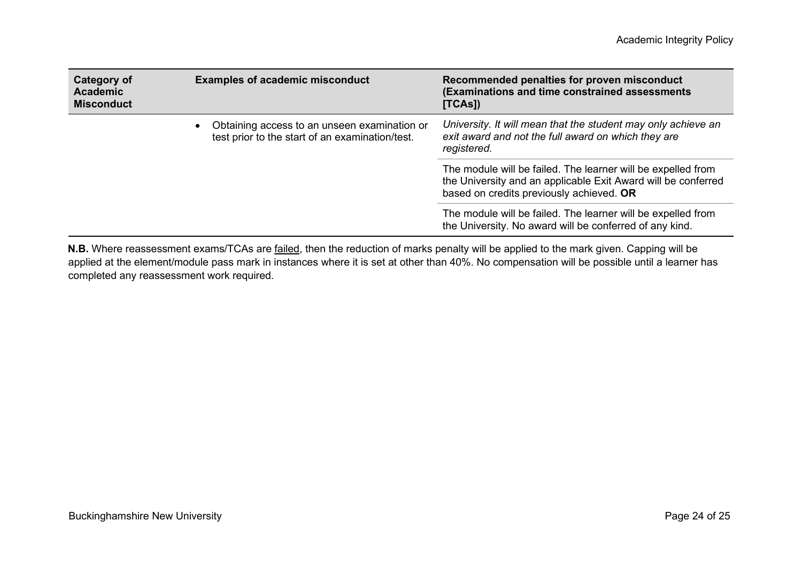| Category of<br><b>Academic</b><br><b>Misconduct</b> | <b>Examples of academic misconduct</b>                                                                       | Recommended penalties for proven misconduct<br>(Examinations and time constrained assessments<br>[TCAS]                                                                   |
|-----------------------------------------------------|--------------------------------------------------------------------------------------------------------------|---------------------------------------------------------------------------------------------------------------------------------------------------------------------------|
|                                                     | Obtaining access to an unseen examination or<br>$\bullet$<br>test prior to the start of an examination/test. | University. It will mean that the student may only achieve an<br>exit award and not the full award on which they are<br>registered.                                       |
|                                                     |                                                                                                              | The module will be failed. The learner will be expelled from<br>the University and an applicable Exit Award will be conferred<br>based on credits previously achieved. OR |
|                                                     |                                                                                                              | The module will be failed. The learner will be expelled from<br>the University. No award will be conferred of any kind.                                                   |

**N.B.** Where reassessment exams/TCAs are failed, then the reduction of marks penalty will be applied to the mark given. Capping will be applied at the element/module pass mark in instances where it is set at other than 40%. No compensation will be possible until a learner has completed any reassessment work required.